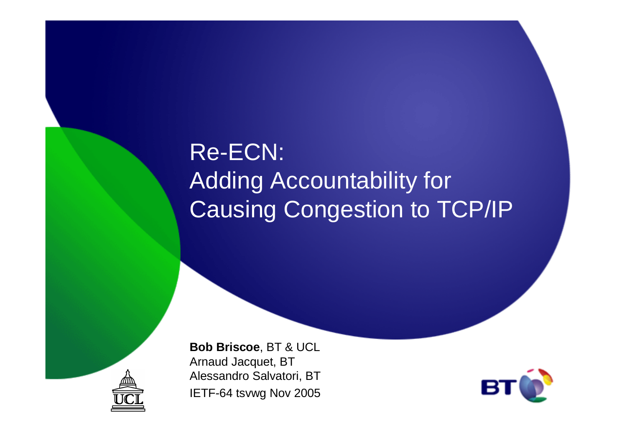# Re-ECN:Adding Accountability for Causing Congestion to TCP/IP



**Bob Briscoe**, BT & UCLArnaud Jacquet, BT Alessandro Salvatori, BTIETF-64 tsvwg Nov 2005

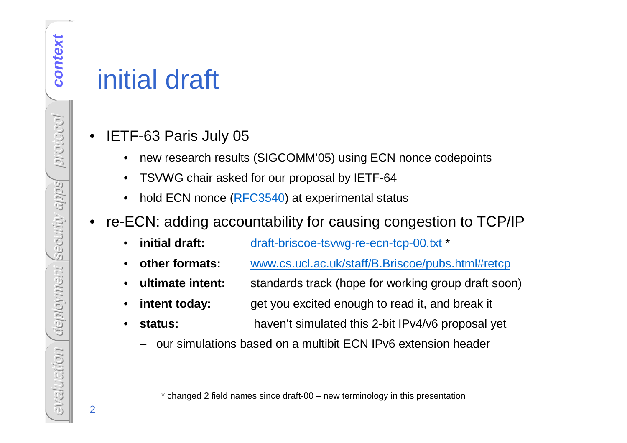# initial draft

- • IETF-63 Paris July 05
	- •new research results (SIGCOMM'05) using ECN nonce codepoints
	- TSVWG chair asked for our proposal by IETF-64
	- $\bullet$ hold ECN nonce (RFC3540) at experimental status
- • re-ECN: adding accountability for causing congestion to TCP/IP
	- •**initial draft:** draft-briscoe-tsvwg-re-ecn-tcp-00.txt \*
	- •**other formats:** www.cs.ucl.ac.uk/staff/B.Briscoe/pubs.html#retcp
	- •**ultimate intent:** standards track (hope for working group draft soon)
	- •**intent today:** get you excited enough to read it, and break it
	- • **status:** haven't simulated this 2-bit IPv4/v6 proposal yet
		- our simulations based on a multibit ECN IPv6 extension header

\* changed 2 field names since draft-00 – new terminology in this presentation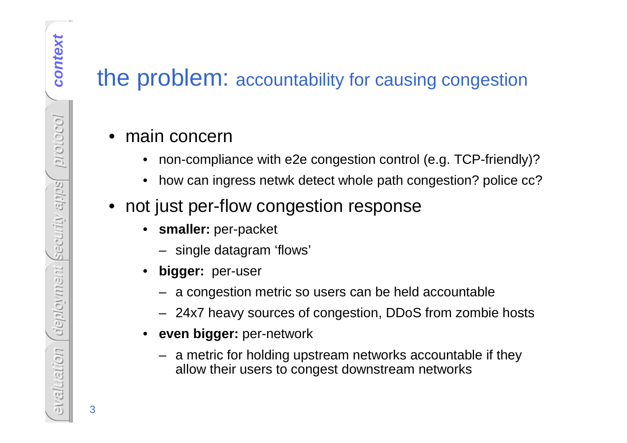### the problem: accountability for causing congestion

### • main concern

- •non-compliance with e2e congestion control (e.g. TCP-friendly)?
- •how can ingress netwk detect whole path congestion? police cc?
- not just per-flow congestion response
	- $\bullet$  **smaller:** per-packet
		- single datagram 'flows'
	- • **bigger:** per-user
		- a congestion metric so users can be held accountable
		- 24x7 heavy sources of congestion, DDoS from zombie hosts
	- • **even bigger:** per-network
		- a metric for holding upstream networks accountable if they allow their users to congest downstream networks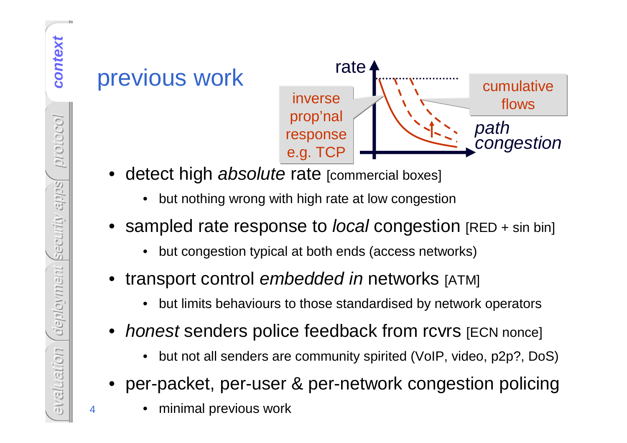# previous work



- •detect high absolute rate [commercial boxes]
	- •but nothing wrong with high rate at low congestion
- •sampled rate response to *local* congestion [RED + sin bin]
	- •but congestion typical at both ends (access networks)
- •transport control embedded in networks [ATM]
	- •but limits behaviours to those standardised by network operators
- •• *honest* senders police feedback from rcvrs [ECN nonce]
	- •but not all senders are community spirited (VoIP, video, p2p?, DoS)
- per-packet, per-user & per-network congestion policing
	- •minimal previous work

context **context**protocol deplowment security apps security apps deployment evaluation evaluation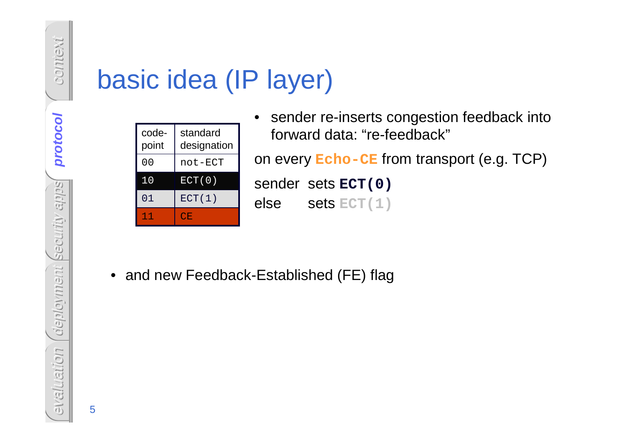# basic idea (IP layer)

| code-<br>point | standard<br>designation |
|----------------|-------------------------|
| 00             | not-ECT                 |
| 10             | ECT(0)                  |
| 01             | ECT(1)                  |
|                | CΕ.                     |

 $\bullet$  sender re-inserts congestion feedback into forward data: "re-feedback"

on every **Echo-CE** from transport (e.g. TCP)

sender sets **ECT(0)**else sets **ECT(1)**

• and new Feedback-Established (FE) flag

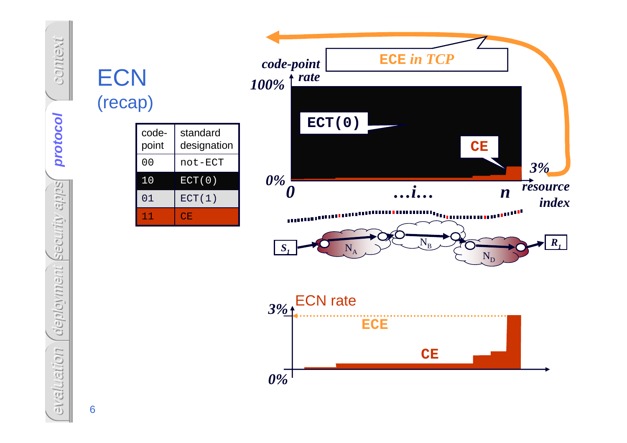# context protocol **protocol** deployment security apps security apps deployment evaluation evaluation

**ECN** 

(recap)

11

01

10

00

codepoint

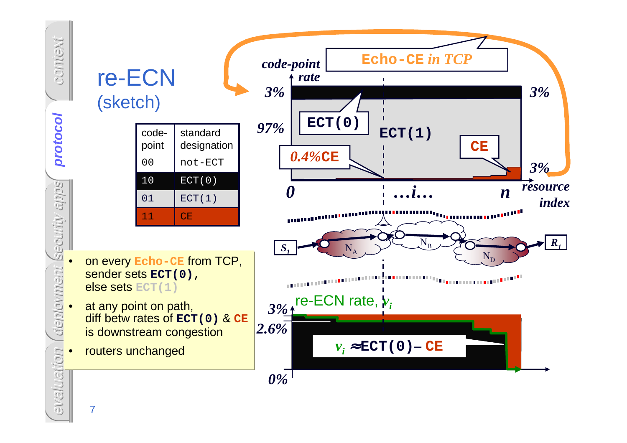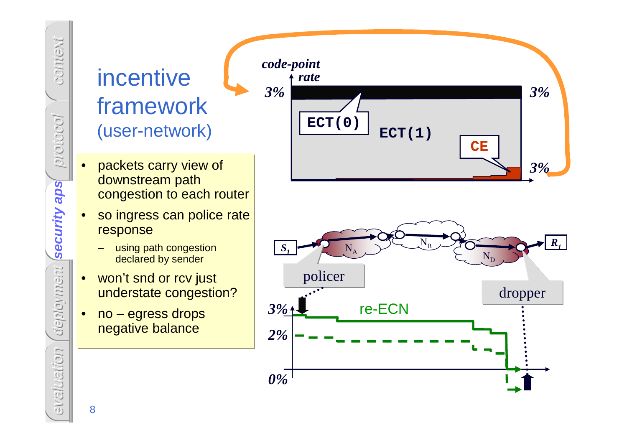# incentive framework(user-network)

- • packets carry view of downstream path congestion to each router
- **security aps** • so ingress can police rate response
	- using path congestion declared by sender
	- • won't snd or rcv just understate congestion?
	- • no – egress drops negative balance



8

context

protocol

security aps

deployment

evaluation

evaluation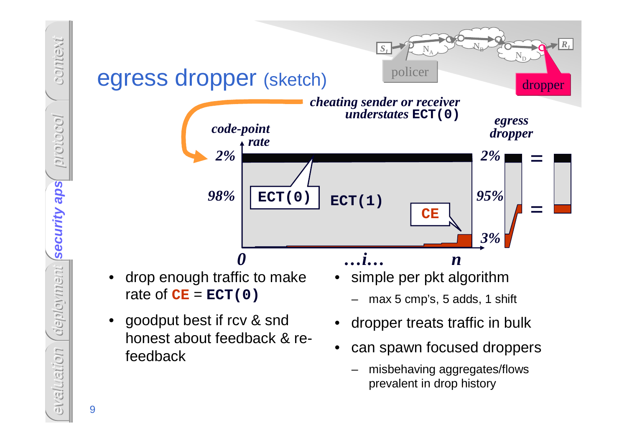

evaluation evaluation

9

context

protocol

security aps

deployment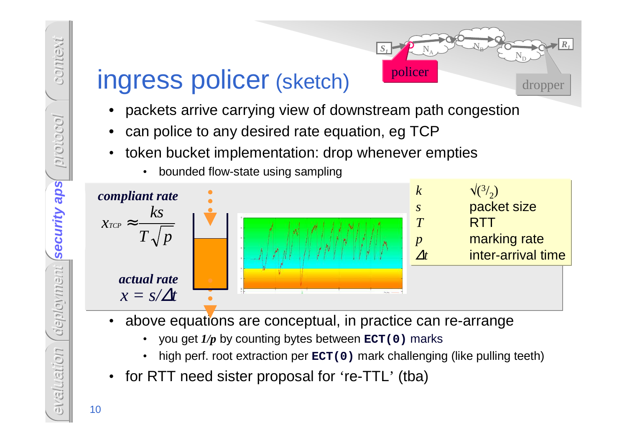•



NA

*S*

*1*

 $\boldsymbol{\mathsf{N}}$ B

> ND

> > dropper

*R1*

- 
- token bucket implementation: drop whenever empties



- • above equations are conceptual, in practice can re-arrange
	- •you get *1/p* by counting bytes between **ECT(0)** marks
	- •high perf. root extraction per **ECT(0)** mark challenging (like pulling teeth)
- •for RTT need sister proposal for 're-TTL' (tba)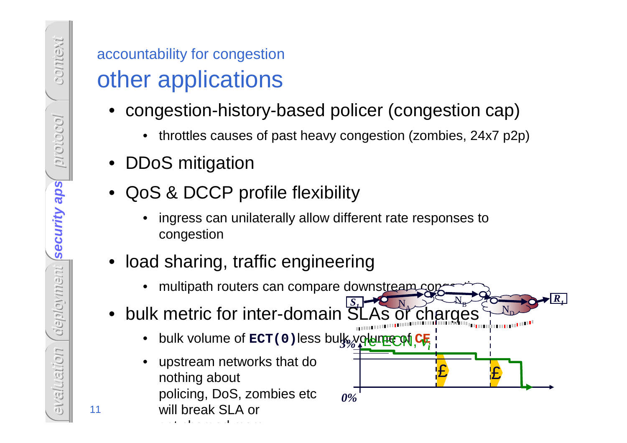- -
- 
- -
- -

*0%*

£

£

 $\bf N$ D *<sup>R</sup>1*

- $\bf N$   $\bf A$  $\bf N$ B*S 1*
	- re-ECN, *v 3% <sup>i</sup>*
- accountability for congestion<br>
other applications<br>
 congestion-history-based policer (congestion cap)<br>
 throttles causes of past heavy congestion (zombies, 24x7 p2p)<br>
 DDoS mitigation<br>
 QoS & DCCP profile flexibility<br>

get charged more

context protocol security aps deployment **security aps**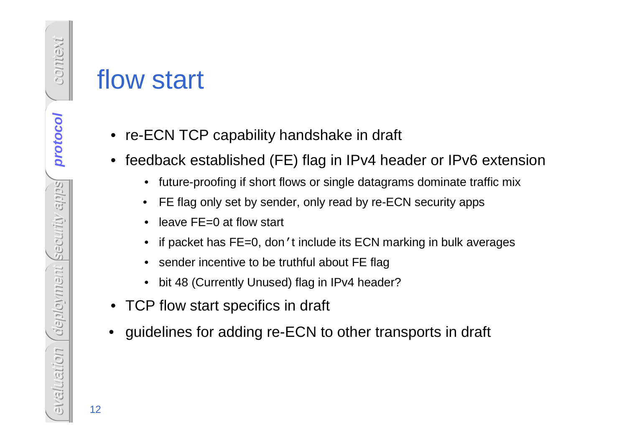- re-ECN TCP capability handshake in draft
- feedback established (FE) flag in IPv4 header or IPv6 extension
	- future-proofing if short flows or single datagrams dominate traffic mix
	- •FE flag only set by sender, only read by re-ECN security apps
	- $\bullet$ leave FE=0 at flow start
	- if packet has FE=0, don't include its ECN marking in bulk averages
	- sender incentive to be truthful about FE flag
	- bit 48 (Currently Unused) flag in IPv4 header?
- TCP flow start specifics in draft
- •guidelines for adding re-ECN to other transports in draft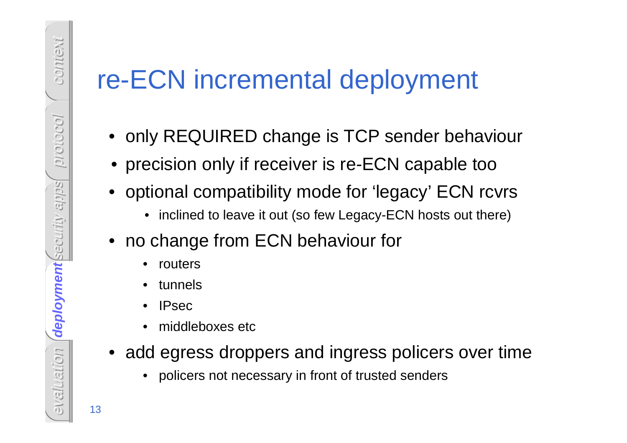# evaluation 13<br>
evaluation 13re-ECN incremental deployment<br>
• only REQUIRED change is TCP sender behaviour<br>
• precision only if receiver is re-ECN capable too<br>
• optional compatibility mode for 'legacy' ECN rcvrs<br>
• incline

- 
- •precision only if receiver is re-ECN capable too
- optional compatibility mode for 'legacy' ECN rcvrs
	- inclined to leave it out (so few Legacy-ECN hosts out there)
- no change from ECN behaviour for
	- $\bullet$ routers
	- •tunnels
	- •IPsec
	- •middleboxes etc
- add egress droppers and ingress policers over time
	- •policers not necessary in front of trusted senders

context protocol security apps deployment **deployment**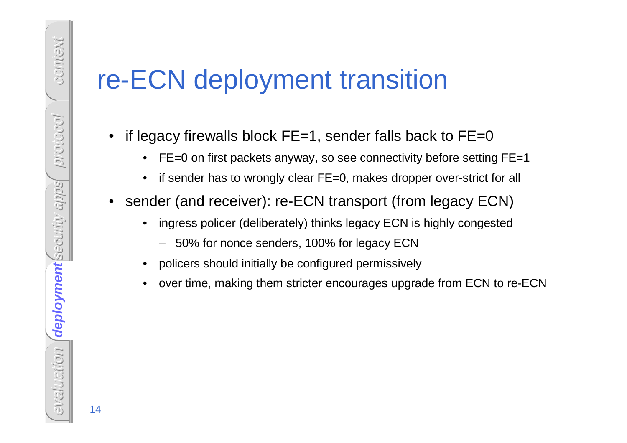# **FE-ECN deployment transition**<br>
• if legacy firewalls block FE=1, sender falls back to FE=0<br>
• FE=0 on first packets anyway, so see connectivity before setting FE=1<br>
• if sender has to wrongly clear FE=0, makes dropper ov

- -
	-
- - -
	-
	-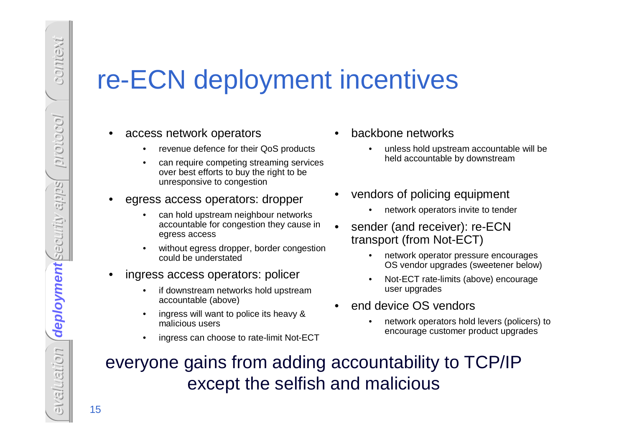- 
- 

- 
- 
- -
	-
	-
- -
- -
- -
- ingress access operators: policer<br>• if downstream networks hold upstream<br>accountable (above)<br>• ingress will want to police its heavy &<br>• malicious users<br>• ingress on choose to the limit Net FCT.
	- -

# evaluation 15re-ECN deployment incentives • access network operators • revenue defence for their QoS products • can require competing streaming services over best efforts to buy the right to be unresponsive to congestion • egress access operators: dropper • can hold upstream neighbour networks accountable for congestion they cause in egress access • without egress dropper, border congestion could be understated • ingress access operators: policer • if downstream networks hold upstream accountable (above) • ingress will want to police its heavy & malicious users • ingress can choose to rate-limit Not-ECT • backbone networks • unless hold upstream accountable will be held accountable by downstream • vendors of policing equipment • network operators invite to tender • sender (and receiver): re-ECN transport (from Not-ECT) • network operator pressure encourages OS vendor upgrades (sweetener below) • Not-ECT rate-limits (above) encourage user upgrades • end device OS vendors • network operators hold levers (policers) to everyone gains from adding accountability to TCP/IPexcept the selfish and malicious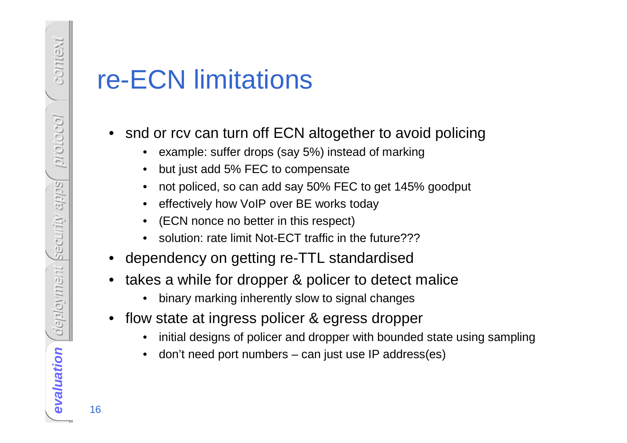- -
	-
	-
	-
	-
	-
- 
- -
- -
	-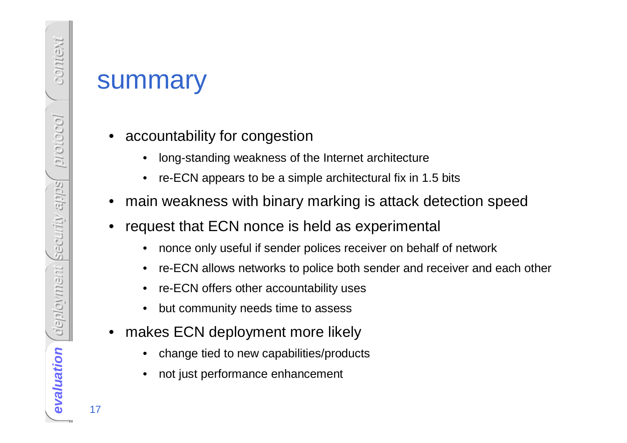- - long-standing weakness of the Internet architecture
	- •re-ECN appears to be a simple architectural fix in 1.5 bits
- •main weakness with binary marking is attack detection speed
- • request that ECN nonce is held as experimental
	- •nonce only useful if sender polices receiver on behalf of network
	- •re-ECN allows networks to police both sender and receiver and each other
	- •re-ECN offers other accountability uses
	- •but community needs time to assess
- • makes ECN deployment more likely
	- •change tied to new capabilities/products
	- •not just performance enhancement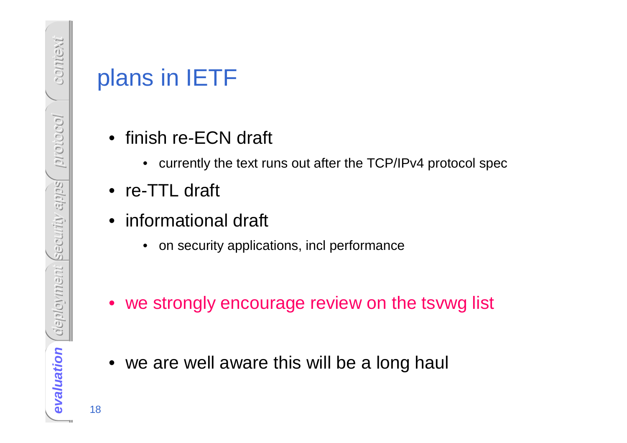- -
- 
- -
- Plans in IETF<br>
 finish re-ECN draft<br>
 curently the text runs out after the TCP/IPv4 protocol spec<br>
 re-TTL draft<br>
 informational draft<br>
 on security applications, incl performance<br>
 we strongly encourage review on th
	-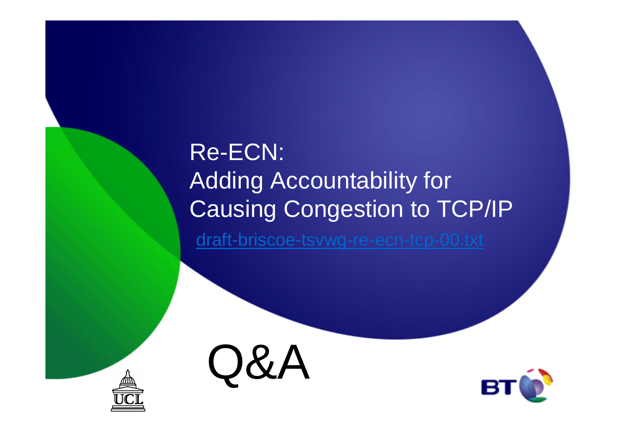# Re-ECN:Adding Accountability for Causing Congestion to TCP/IP

draft-briscoe-tsvwg-re-ecn-tcp-00.txt





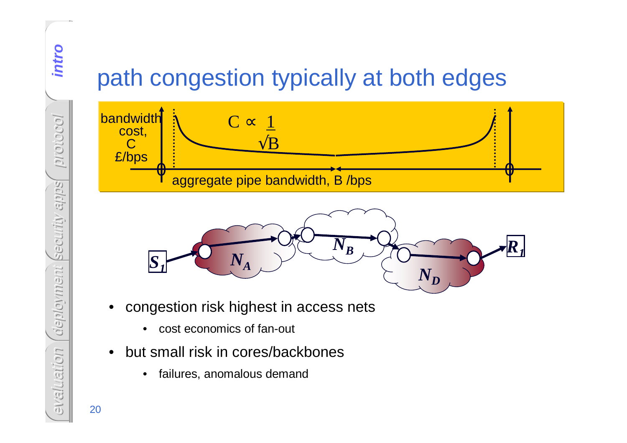# path congestion typically at both edges





- • congestion risk highest in access nets
	- $\bullet$ cost economics of fan-out
- • but small risk in cores/backbones
	- $\bullet$ failures, anomalous demand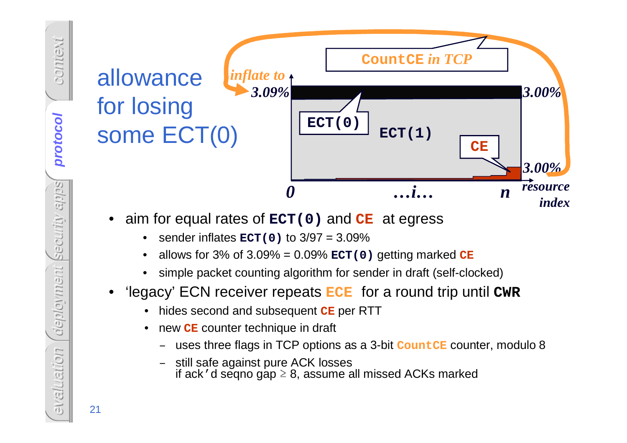# Example 1<br>
Some ECT(0)<br>
Some ECT(0)<br>
CET(0)<br>
CET(1)<br>
CET(1)<br>
CET(1)<br>
CET(1)<br>
CET(1)<br>
CET(1)<br>
CET(1)<br>
CET(1)<br>
CET(1)<br>
CET(1)<br>
CET(1)<br>
CET(1)<br>
CET(1)<br>
CET(1)<br>
CET(1)<br>
CET(1)<br>
CET(1)<br>
CET(1)<br>
CET(1)<br>
CET(1)<br>
CET(1)<br>
CET(1)<br> for losing<br> **some**  $\text{ECT}(0)$   $\boxed{\text{ECT}(0)}$   $\text{ECT}(1)$ *0 …i… <sup>n</sup>index 3.00%*resource **ECT(0)CECountCE** *in TCP3.09% 3.00% inflate to*

- -
	-
	-
- - hides second and subsequent **CE** per RTT
	- $\bullet$  new **CE** counter technique in draft
		- –uses three flags in TCP options as a 3-bit **CountCE** counter, modulo 8
		- still safe against pure ACK losses if ack  $\prime$  d seqno gap  $\geq$  8, assume all missed ACKs marked

context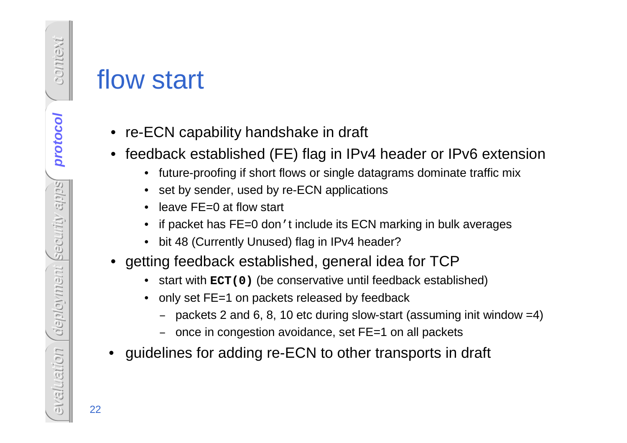- re-ECN capability handshake in draft
- feedback established (FE) flag in IPv4 header or IPv6 extension
	- future-proofing if short flows or single datagrams dominate traffic mix
	- set by sender, used by re-ECN applications
	- leave FE=0 at flow start
	- if packet has FE=0 don't include its ECN marking in bulk averages
	- bit 48 (Currently Unused) flag in IPv4 header?
- getting feedback established, general idea for TCP
	- start with **ECT(0)** (be conservative until feedback established)
	- only set FE=1 on packets released by feedback
		- packets 2 and 6, 8, 10 etc during slow-start (assuming init window =4)
		- once in congestion avoidance, set FE=1 on all packets
- •guidelines for adding re-ECN to other transports in draft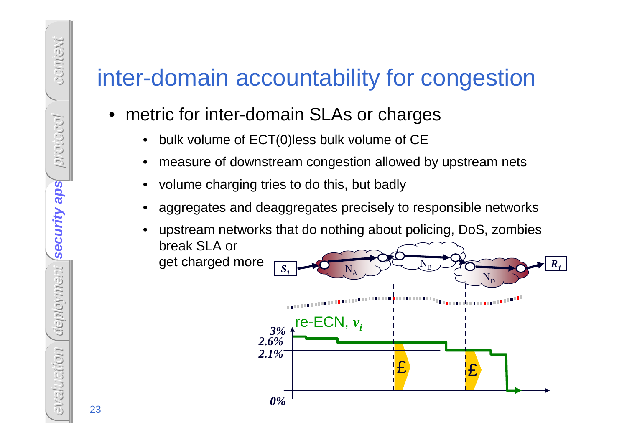# inter-domain accountability for congestion

- metric for inter-domain SLAs or charges
	- •bulk volume of ECT(0)less bulk volume of CE
	- •measure of downstream congestion allowed by upstream nets
	- •volume charging tries to do this, but badly
	- • aggregates and deaggregates precisely to responsible networks
		- ££ upstream networks that do nothing about policing, DoS, zombies break SLA or get charged more*0%*re-ECN, *vi 3% 2.6%* $\boldsymbol{\rm N}$ A $\boldsymbol{\rm N}$ B $\boldsymbol{\rm N}$ D*S<sup>R</sup>112.1%*

•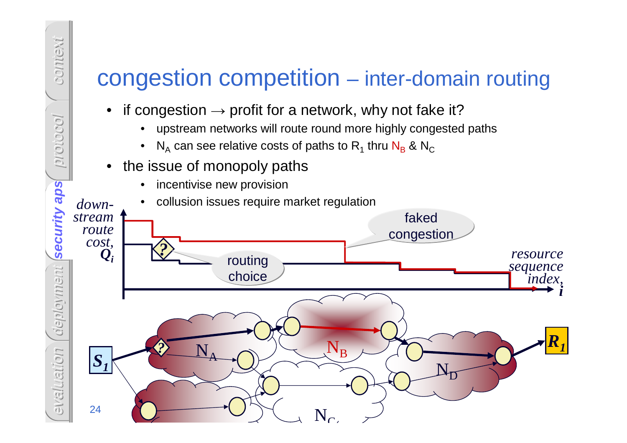# congestion competition – inter-domain routing

- •if congestion  $\rightarrow$  profit for a network, why not fake it?<br>
• unstream networks will route round more highly congested
	- •upstream networks will route round more highly congested paths
	- • $N_A$  can see relative costs of paths to  $R_1$  thru  $N_B$  &  $N_C$
- the issue of monopoly paths•

context

protocol

•incentivise new provision